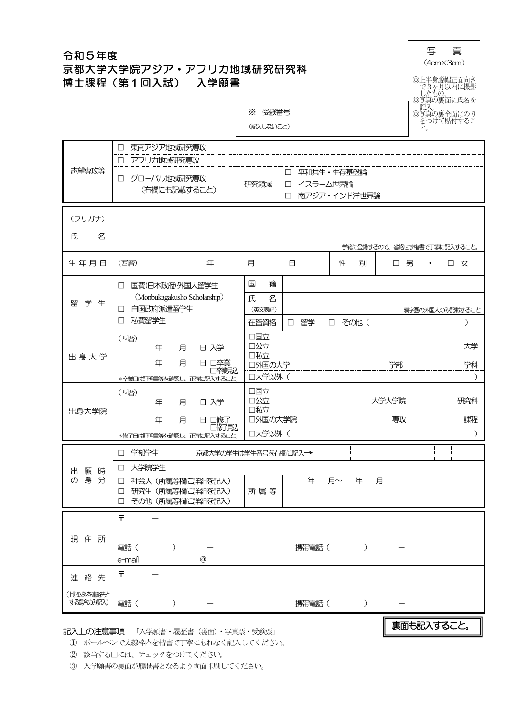| 令和5年度<br>京都大学大学院アジア・アフリカ地域研究研究科<br>博士課程(第1回入試) 入学願書 |                                                                                                    |                                                               |              |   |                |                  |   |             | 写<br>$(4cm \times 3cm)$<br>◎上半身脱帽正面向き | 真<br>で3ヶ月以内に撮影<br><u>したもの。</u>                      |                             |
|-----------------------------------------------------|----------------------------------------------------------------------------------------------------|---------------------------------------------------------------|--------------|---|----------------|------------------|---|-------------|---------------------------------------|-----------------------------------------------------|-----------------------------|
|                                                     |                                                                                                    | ※ 受験番号<br>(記入しないこと)                                           |              |   |                |                  |   |             |                                       | ◎写真の裏面に氏名を<br>○記入。<br>◎写真の裏全面にのり<br>をつけて貼付するこ<br>と。 |                             |
| 志望専攻等                                               | 東南アジア地域研究専攻<br>アフリカ地或研究専攻<br>□<br>グローバル地域研究専攻<br>□<br>(右欄にも記載すること)                                 | 平和共生·生存基盤論<br>□<br>研究領域<br>イスラーム世界論<br>□<br>南アジア・インド洋世界論<br>□ |              |   |                |                  |   |             |                                       |                                                     |                             |
| (フリガナ)<br>氏<br>名                                    |                                                                                                    |                                                               |              |   |                |                  |   |             |                                       |                                                     | 学籍に登録するので、省略せず楷書で丁寧に記入すること。 |
| 生年月日                                                | (西暦)<br>年                                                                                          | 月                                                             | Β            |   | 性              | 別                |   |             | 口男                                    |                                                     | 口 女                         |
| 留学生                                                 | 国費(日本政府)外国人留学生<br>$\Box$<br>(Monbukagakusho Scholarship)<br>自国政府派遣留学生<br>$\Box$<br>私費留学生<br>$\Box$ | 国<br>籍<br>氏<br>名<br>(英文表記)<br>在留資格                            | 留学<br>$\Box$ |   | □ その他 (        |                  |   |             |                                       |                                                     | 漢字圏の外国人のみ記載すること<br>)        |
| 出身大学                                                | (西暦)<br>日 入学<br>年<br>月<br>年<br>月<br>日 □卒業<br>口卒業見込<br>*卒業日は証明書等を確認し、正確に記入すること。                     | 口国立<br>口公立<br>口私立<br>口外国の大学<br>口大学以外(                         |              |   |                |                  |   | 学部          |                                       |                                                     | 大学<br>学科<br>$\lambda$       |
| 出身大学院                                               | (西暦)<br>日入学<br>年<br>月<br>年<br>月<br>日 口修了<br>口修了見込<br>*修了日は証明書等を確認し、正確に記入すること。                      | 口国立<br>口公立<br>口私立<br>口外国の大学院<br>  口大学以外(                      |              |   |                |                  |   | 大学大学院<br>専攻 |                                       |                                                     | 研究科<br>課程                   |
|                                                     | □ 学部学生<br>京都大学の学生は学生番号を右欄に記入→                                                                      |                                                               |              |   |                |                  |   |             |                                       |                                                     |                             |
| 出願時<br>の身分                                          | 口 大学院学生<br>□ 社会人 (所属等欄に詳細を記入)<br>□ 研究生 (所属等欄に詳細を記入)<br>その他(所属等欄に詳細を記入)<br>П                        | 所属等                                                           |              | 年 | 月~             | 年                | 月 |             |                                       |                                                     |                             |
| 現住所                                                 | $\bar{t}$<br>電話(<br>$\big)$<br>e-mail<br>$\circledcirc$                                            |                                                               |              |   | 携帯電話(    ) - 一 |                  |   |             |                                       |                                                     |                             |
| 連絡先                                                 | Ŧ                                                                                                  |                                                               |              |   |                |                  |   |             |                                       |                                                     |                             |
| (上記以外を連絡先と<br>する場合の現まし                              | 電話(<br>$\rightarrow$                                                                               |                                                               |              |   | 携帯電話(          | $\left( \right)$ |   |             |                                       |                                                     |                             |
|                                                     | 記入上の注意事項 「入学願書・履歴書 (裏面)・写真票・受験票」                                                                   |                                                               |              |   |                |                  |   |             |                                       | 裏面も記入すること。                                          |                             |

① ボールペンで太線枠内を楷書で丁寧にもれなく記入してください。

② 該当する□には、チェックをつけてください。

③ 入学願書の裏面が履歴書となるよう両面印刷してください。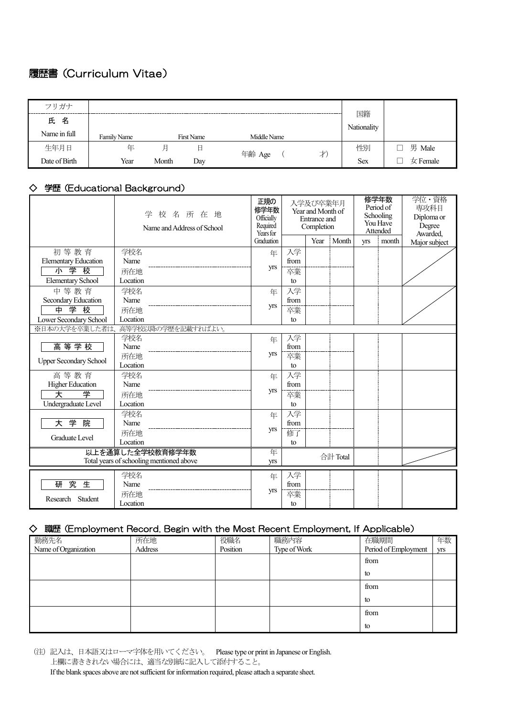## 履歴書(Curriculum Vitae)

| フリガナ          |             |       |                   |              |                   |              |
|---------------|-------------|-------|-------------------|--------------|-------------------|--------------|
| 氏名            |             |       |                   |              | 国籍<br>Nationality |              |
| Name in full  | Family Name |       | <b>First Name</b> | Middle Name  |                   |              |
| 生年月日          | 年           | 月     | 日                 | 才)<br>年齢 Age | 性別                | 男 Male       |
| Date of Birth | Year        | Month | Day               |              | <b>Sex</b>        | $\pm$ Female |

## ◇ 学歴(Educational Background)

|                                          | 校名所在地<br>学<br>Name and Address of School | 正規の<br>修学年数<br>Officially<br>Required<br>Years for<br>Graduation |      | 入学及び卒業年月<br>Year and Month of<br><b>Entrance</b> and<br>Completion<br>Year | Month    | <b>yrs</b> | 修学年数<br>Period of<br>Schooling<br>You Have<br>Attended<br>month | 学位・資格<br>専攻科目<br>Diploma or<br>Degree<br>Awarded,<br>Major subject |
|------------------------------------------|------------------------------------------|------------------------------------------------------------------|------|----------------------------------------------------------------------------|----------|------------|-----------------------------------------------------------------|--------------------------------------------------------------------|
| 初等教育                                     | 学校名                                      | 年                                                                | 入学   |                                                                            |          |            |                                                                 |                                                                    |
| <b>Elementary Education</b>              | Name                                     |                                                                  | from |                                                                            |          |            |                                                                 |                                                                    |
| 小学校                                      | 所在地                                      | yrs                                                              | 卒業   |                                                                            |          |            |                                                                 |                                                                    |
| <b>Elementary School</b>                 | Location                                 |                                                                  | to   |                                                                            |          |            |                                                                 |                                                                    |
| 中等教育                                     | 学校名                                      | 年                                                                | 入学   |                                                                            |          |            |                                                                 |                                                                    |
| Secondary Education                      | Name                                     |                                                                  | from |                                                                            |          |            |                                                                 |                                                                    |
| 中<br>学校                                  | 所在地                                      | yrs                                                              | 卒業   |                                                                            |          |            |                                                                 |                                                                    |
| Lower Secondary School                   | Location                                 |                                                                  | to   |                                                                            |          |            |                                                                 |                                                                    |
| ※日本の大学を卒業した者は、                           | 高等学校以降の学歴を記載すればよい。                       |                                                                  |      |                                                                            |          |            |                                                                 |                                                                    |
|                                          | 学校名                                      | 年                                                                | 入学   |                                                                            |          |            |                                                                 |                                                                    |
| 高等学校                                     | Name                                     |                                                                  | from |                                                                            |          |            |                                                                 |                                                                    |
| <b>Upper Secondary School</b>            | 所在地                                      | yrs                                                              | 卒業   |                                                                            |          |            |                                                                 |                                                                    |
|                                          | Location                                 |                                                                  | to   |                                                                            |          |            |                                                                 |                                                                    |
| 高等教育                                     | 学校名                                      | 年                                                                | 入学   |                                                                            |          |            |                                                                 |                                                                    |
| <b>Higher Education</b>                  | Name                                     | <b>yrs</b>                                                       | from |                                                                            |          |            |                                                                 |                                                                    |
| 大<br>学                                   | 所在地                                      |                                                                  | 卒業   |                                                                            |          |            |                                                                 |                                                                    |
| Undergraduate Level                      | Location                                 |                                                                  | to   |                                                                            |          |            |                                                                 |                                                                    |
|                                          | 学校名                                      | 年                                                                | 入学   |                                                                            |          |            |                                                                 |                                                                    |
| 学<br>院<br>大                              | Name                                     | yrs                                                              | from |                                                                            |          |            |                                                                 |                                                                    |
| <b>Graduate Level</b>                    | 所在地                                      |                                                                  | 修了   |                                                                            |          |            |                                                                 |                                                                    |
|                                          | Location                                 |                                                                  | to   |                                                                            |          |            |                                                                 |                                                                    |
| 以上を通算した全学校教育修学年数                         |                                          | 年                                                                |      |                                                                            | 合計 Total |            |                                                                 |                                                                    |
| Total years of schooling mentioned above |                                          | yrs                                                              |      |                                                                            |          |            |                                                                 |                                                                    |
|                                          | 学校名                                      | 年                                                                | 入学   |                                                                            |          |            |                                                                 |                                                                    |
| 究<br>生<br>研                              | Name                                     |                                                                  | from |                                                                            |          |            |                                                                 |                                                                    |
|                                          | 所在地                                      | yrs                                                              | 卒業   |                                                                            |          |            |                                                                 |                                                                    |
| Student<br>Research                      | Location                                 |                                                                  | to   |                                                                            |          |            |                                                                 |                                                                    |

## ◇ 職歴(Employment Record. Begin with the Most Recent Employment, If Applicable)

| 勤務先名                 | 所在地     | 役職名      | 職務内容         | 在職期間                 | 年数  |
|----------------------|---------|----------|--------------|----------------------|-----|
| Name of Organization | Address | Position | Type of Work | Period of Employment | yrs |
|                      |         |          |              | from                 |     |
|                      |         |          |              | to                   |     |
|                      |         |          |              | from                 |     |
|                      |         |          |              | to                   |     |
|                      |         |          |              | from                 |     |
|                      |         |          |              | to                   |     |

<sup>(</sup>注)記入は、日本語又はローマ字体を用いてください。 Please type or print in Japanese or English. 上欄に書ききれない場合には、適当な別紙に記入して添付すること。 If the blank spaces above are not sufficient for information required, please attach a separate sheet.